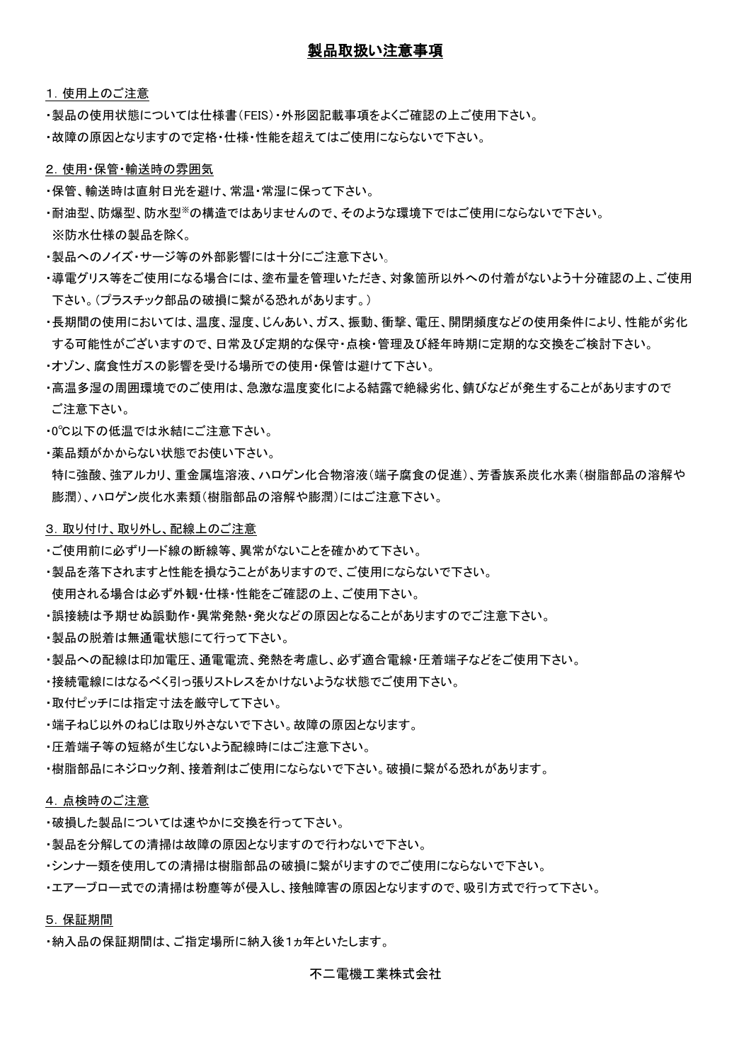# 製品取扱い注意事項

1.使用上のご注意

・製品の使用状態については仕様書(FEIS)・外形図記載事項をよくご確認の上ご使用下さい。

・故障の原因となりますので定格・仕様・性能を超えてはご使用にならないで下さい。

#### 2.使用・保管・輸送時の雰囲気

- ・保管、輸送時は直射日光を避け、常温・常湿に保って下さい。
- ・耐油型、防爆型、防水型※の構造ではありませんので、そのような環境下ではご使用にならないで下さい。
- ※防水仕様の製品を除く。
- ・製品へのノイズ・サージ等の外部影響には十分にご注意下さい。
- ・導電グリス等をご使用になる場合には、塗布量を管理いただき、対象箇所以外への付着がないよう十分確認の上、ご使用 下さい。(プラスチック部品の破損に繋がる恐れがあります。)
- ・長期間の使用においては、温度、湿度、じんあい、ガス、振動、衝撃、電圧、開閉頻度などの使用条件により、性能が劣化 する可能性がございますので、日常及び定期的な保守・点検・管理及び経年時期に定期的な交換をご検討下さい。
- ・オゾン、腐食性ガスの影響を受ける場所での使用・保管は避けて下さい。
- ・高温多湿の周囲環境でのご使用は、急激な温度変化による結露で絶縁劣化、錆びなどが発生することがありますので ご注意下さい。
- ・0℃以下の低温では氷結にご注意下さい。
- ・薬品類がかからない状態でお使い下さい。

特に強酸、強アルカリ、重金属塩溶液、ハロゲン化合物溶液(端子腐食の促進)、芳香族系炭化水素(樹脂部品の溶解や 膨潤)、ハロゲン炭化水素類(樹脂部品の溶解や膨潤)にはご注意下さい。

#### 3. 取り付け、取り外し、配線上のご注意

- ・ご使用前に必ずリード線の断線等、異常がないことを確かめて下さい。
- ・製品を落下されますと性能を損なうことがありますので、ご使用にならないで下さい。
- 使用される場合は必ず外観・仕様・性能をご確認の上、ご使用下さい。
- ・誤接続は予期せぬ誤動作・異常発熱・発火などの原因となることがありますのでご注意下さい。
- ・製品の脱着は無通電状態にて行って下さい。
- ・製品への配線は印加電圧、通電電流、発熱を考慮し、必ず適合電線・圧着端子などをご使用下さい。
- ・接続電線にはなるべく引っ張りストレスをかけないような状態でご使用下さい。
- ・取付ピッチには指定寸法を厳守して下さい。
- ・端子ねじ以外のねじは取り外さないで下さい。故障の原因となります。
- ・圧着端子等の短絡が生じないよう配線時にはご注意下さい。
- ・樹脂部品にネジロック剤、接着剤はご使用にならないで下さい。破損に繋がる恐れがあります。

## 4.点検時のご注意

- ・破損した製品については速やかに交換を行って下さい。
- ・製品を分解しての清掃は故障の原因となりますので行わないで下さい。
- ・シンナー類を使用しての清掃は樹脂部品の破損に繋がりますのでご使用にならないで下さい。
- ・エアーブロー式での清掃は粉塵等が侵入し、接触障害の原因となりますので、吸引方式で行って下さい。

#### 5.保証期間

・納入品の保証期間は、ご指定場所に納入後1ヵ年といたします。

不二電機工業株式会社